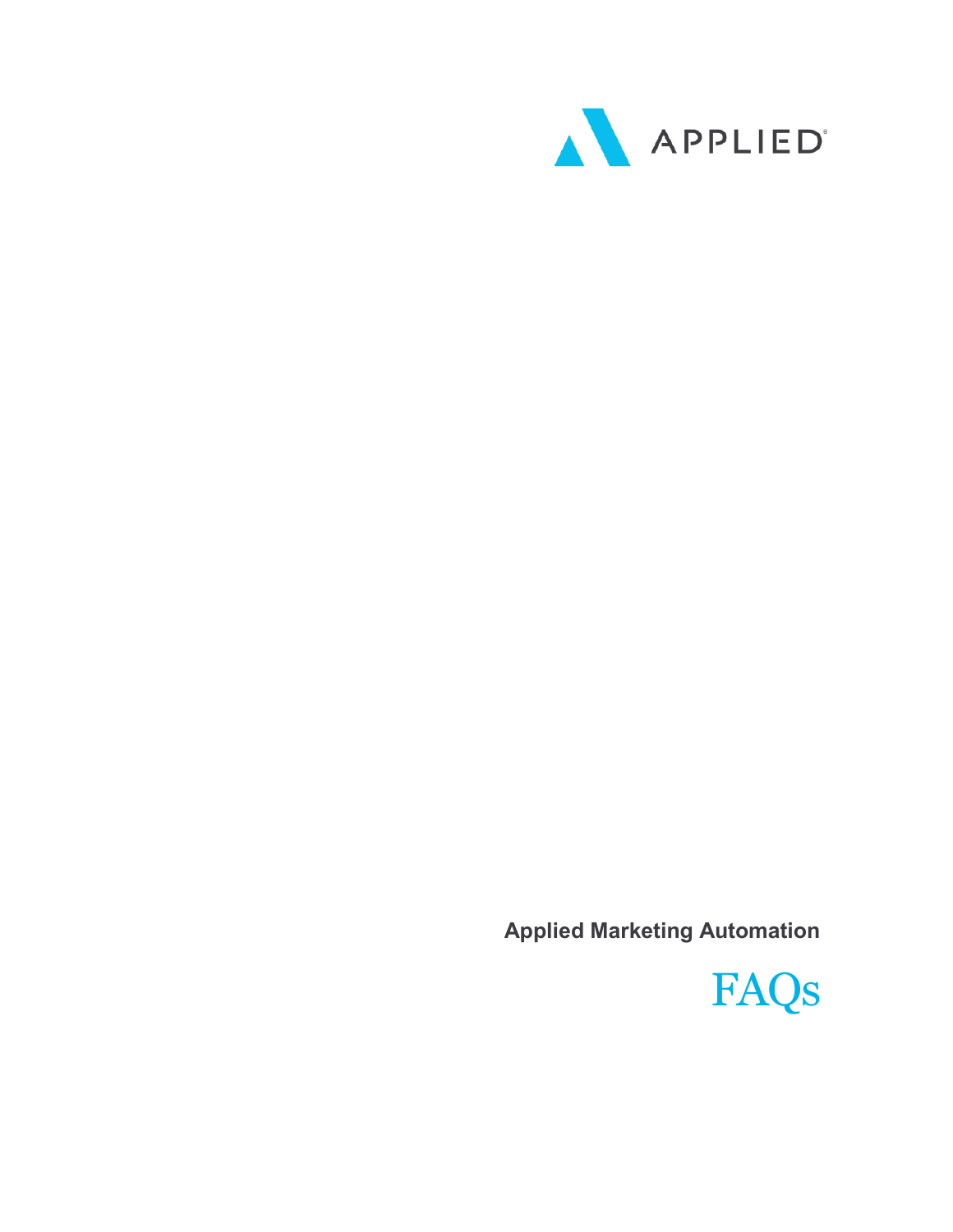

**Applied Marketing Automation**

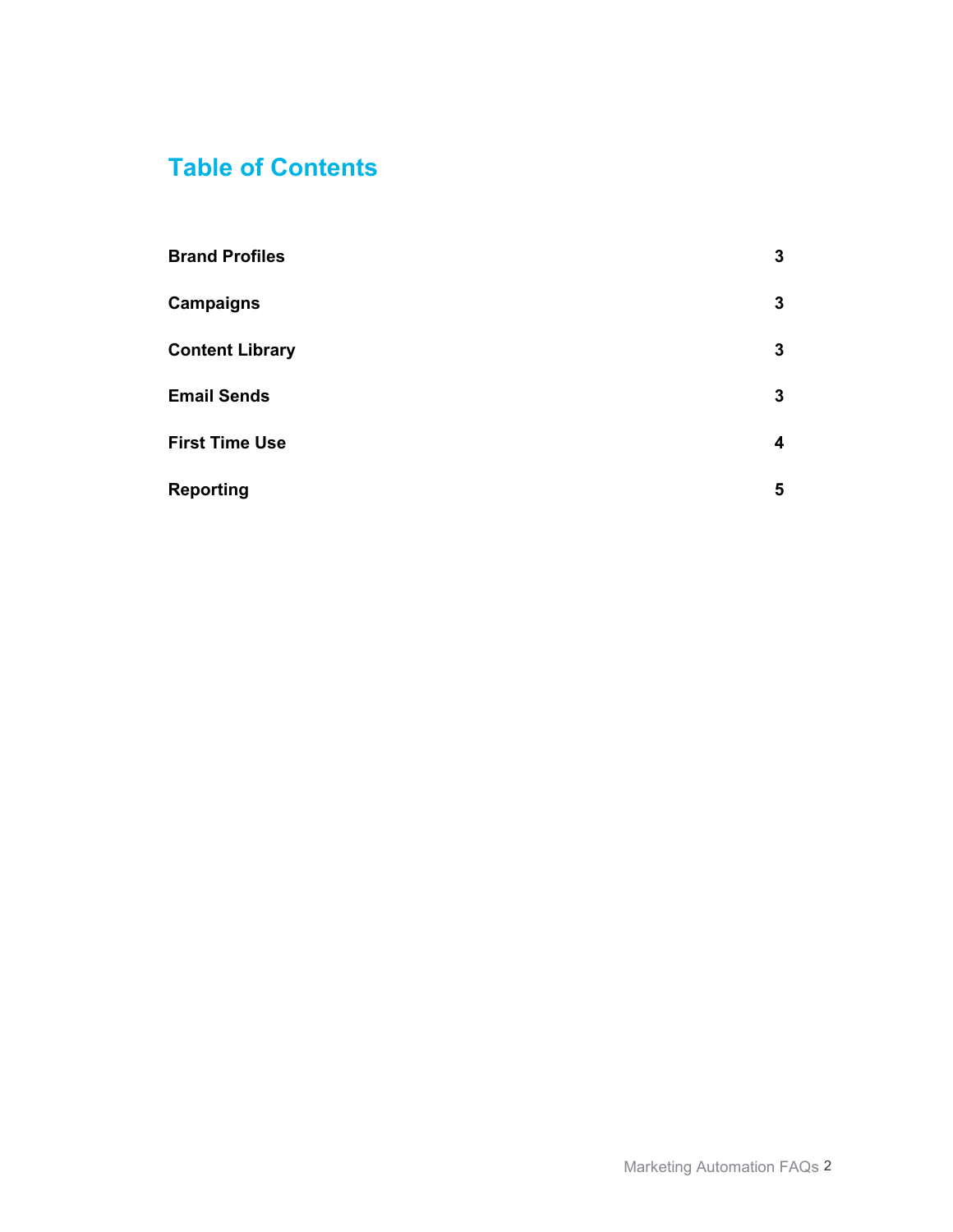# **Table of Contents**

| <b>Brand Profiles</b>  | 3 |
|------------------------|---|
| <b>Campaigns</b>       | 3 |
| <b>Content Library</b> | 3 |
| <b>Email Sends</b>     | 3 |
| <b>First Time Use</b>  | 4 |
| <b>Reporting</b>       | 5 |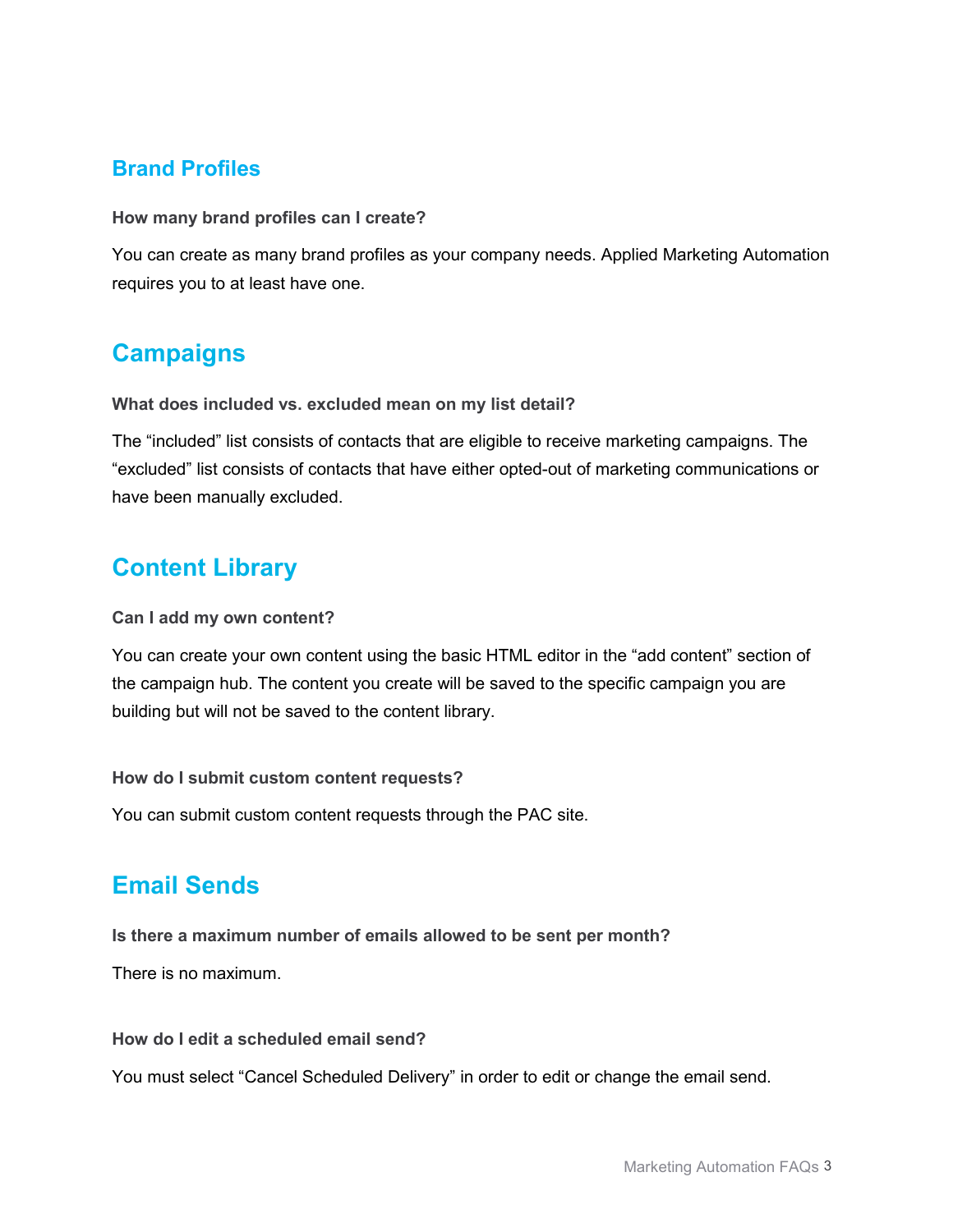### **Brand Profiles**

**How many brand profiles can I create?** 

You can create as many brand profiles as your company needs. Applied Marketing Automation requires you to at least have one.

## **Campaigns**

**What does included vs. excluded mean on my list detail?**

The "included" list consists of contacts that are eligible to receive marketing campaigns. The "excluded" list consists of contacts that have either opted-out of marketing communications or have been manually excluded.

### **Content Library**

#### **Can I add my own content?**

You can create your own content using the basic HTML editor in the "add content" section of the campaign hub. The content you create will be saved to the specific campaign you are building but will not be saved to the content library.

**How do I submit custom content requests?**

You can submit custom content requests through the PAC site.

### **Email Sends**

**Is there a maximum number of emails allowed to be sent per month?**

There is no maximum.

**How do I edit a scheduled email send?**

You must select "Cancel Scheduled Delivery" in order to edit or change the email send.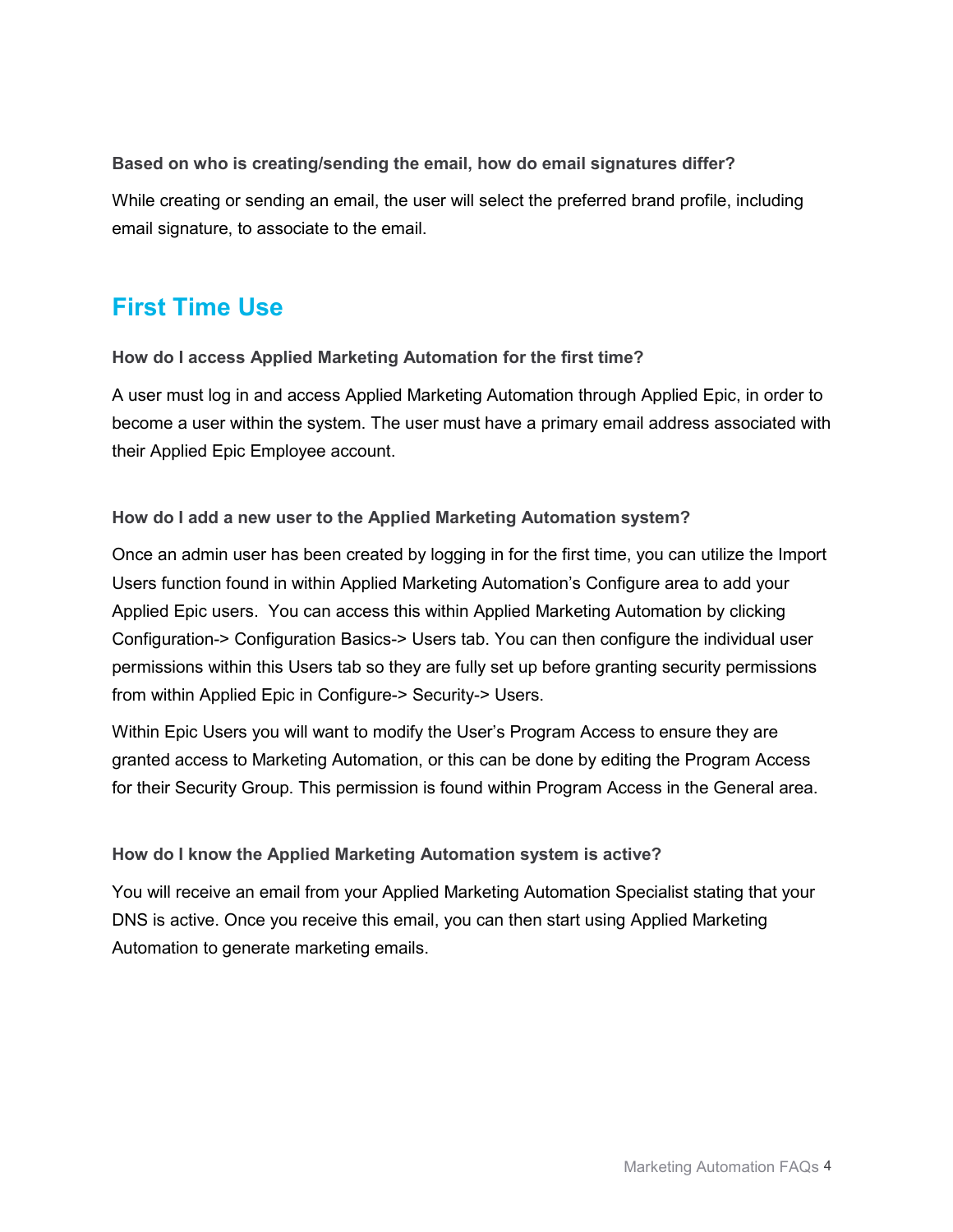**Based on who is creating/sending the email, how do email signatures differ?** While creating or sending an email, the user will select the preferred brand profile, including email signature, to associate to the email.

### **First Time Use**

**How do I access Applied Marketing Automation for the first time?** 

A user must log in and access Applied Marketing Automation through Applied Epic, in order to become a user within the system. The user must have a primary email address associated with their Applied Epic Employee account.

**How do I add a new user to the Applied Marketing Automation system?** 

Once an admin user has been created by logging in for the first time, you can utilize the Import Users function found in within Applied Marketing Automation's Configure area to add your Applied Epic users. You can access this within Applied Marketing Automation by clicking Configuration-> Configuration Basics-> Users tab. You can then configure the individual user permissions within this Users tab so they are fully set up before granting security permissions from within Applied Epic in Configure-> Security-> Users.

Within Epic Users you will want to modify the User's Program Access to ensure they are granted access to Marketing Automation, or this can be done by editing the Program Access for their Security Group. This permission is found within Program Access in the General area.

#### **How do I know the Applied Marketing Automation system is active?**

You will receive an email from your Applied Marketing Automation Specialist stating that your DNS is active. Once you receive this email, you can then start using Applied Marketing Automation to generate marketing emails.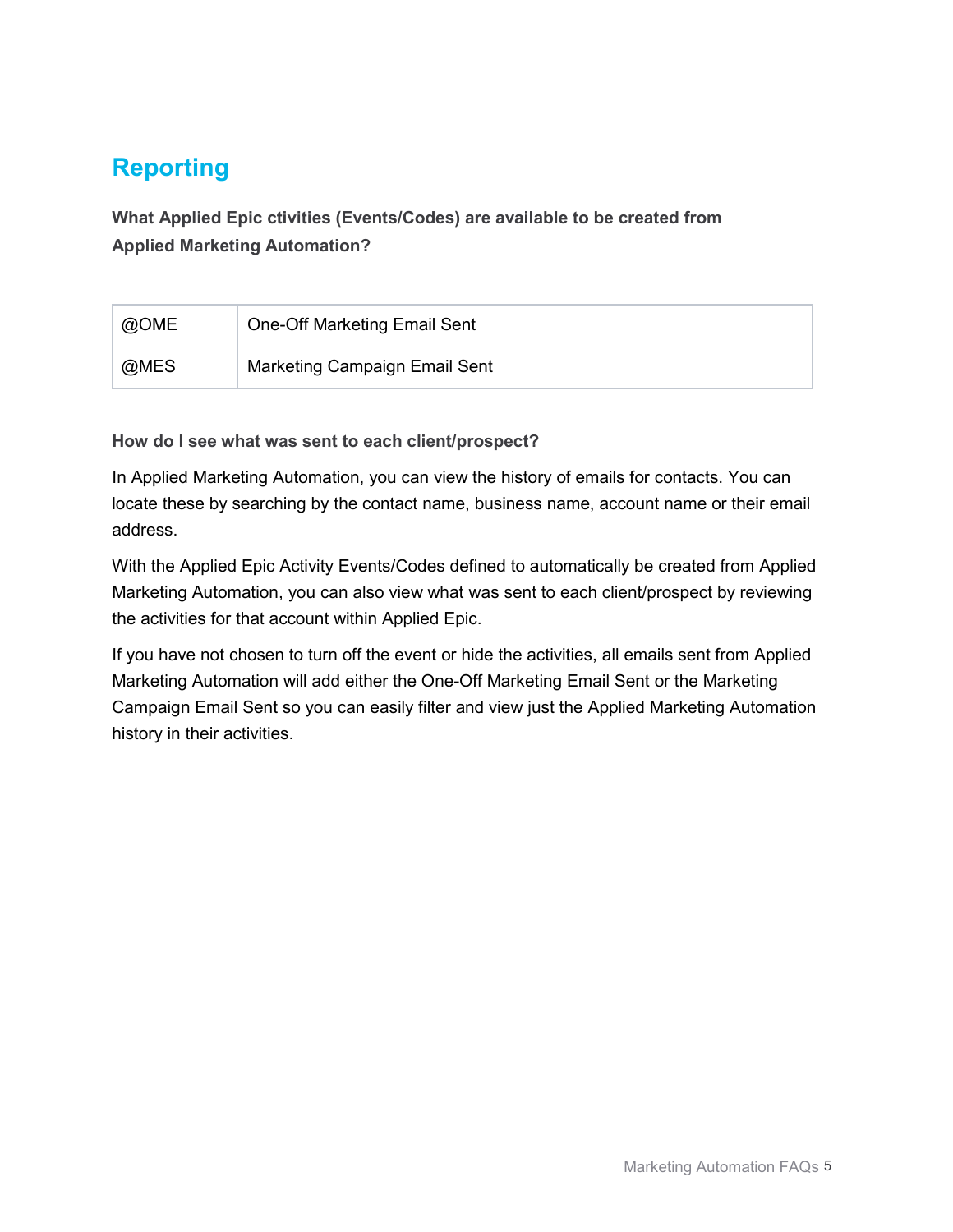# **Reporting**

**What Applied Epic ctivities (Events/Codes) are available to be created from Applied Marketing Automation?** 

| @OME | <b>One-Off Marketing Email Sent</b> |
|------|-------------------------------------|
| @MES | Marketing Campaign Email Sent       |

**How do I see what was sent to each client/prospect?**

In Applied Marketing Automation, you can view the history of emails for contacts. You can locate these by searching by the contact name, business name, account name or their email address.

With the Applied Epic Activity Events/Codes defined to automatically be created from Applied Marketing Automation, you can also view what was sent to each client/prospect by reviewing the activities for that account within Applied Epic.

If you have not chosen to turn off the event or hide the activities, all emails sent from Applied Marketing Automation will add either the One-Off Marketing Email Sent or the Marketing Campaign Email Sent so you can easily filter and view just the Applied Marketing Automation history in their activities.